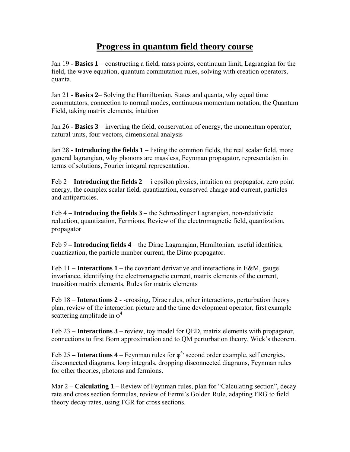## **Progress in quantum field theory course**

Jan 19 - **Basics 1** – constructing a field, mass points, continuum limit, Lagrangian for the field, the wave equation, quantum commutation rules, solving with creation operators, quanta.

Jan 21 - **Basics 2**– Solving the Hamiltonian, States and quanta, why equal time commutators, connection to normal modes, continuous momentum notation, the Quantum Field, taking matrix elements, intuition

Jan 26 - **Basics 3** – inverting the field, conservation of energy, the momentum operator, natural units, four vectors, dimensional analysis

Jan 28 - **Introducing the fields 1** – listing the common fields, the real scalar field, more general lagrangian, why phonons are massless, Feynman propagator, representation in terms of solutions, Fourier integral representation.

Feb  $2$  – **Introducing the fields 2** – i epsilon physics, intuition on propagator, zero point energy, the complex scalar field, quantization, conserved charge and current, particles and antiparticles.

Feb 4 – **Introducing the fields 3** – the Schroedinger Lagrangian, non-relativistic reduction, quantization, Fermions, Review of the electromagnetic field, quantization, propagator

Feb 9 **– Introducing fields 4** – the Dirac Lagrangian, Hamiltonian, useful identities, quantization, the particle number current, the Dirac propagator.

Feb 11 **– Interactions 1 –** the covariant derivative and interactions in E&M, gauge invariance, identifying the electromagnetic current, matrix elements of the current, transition matrix elements, Rules for matrix elements

Feb 18 – **Interactions 2** - -crossing, Dirac rules, other interactions, perturbation theory plan, review of the interaction picture and the time development operator, first example scattering amplitude in  $\varphi^4$ 

Feb 23 – **Interactions 3** – review, toy model for QED, matrix elements with propagator, connections to first Born approximation and to QM perturbation theory, Wick's theorem.

Feb 25 – **Interactions 4** – Feynman rules for  $\varphi$ <sup>4,</sup> second order example, self energies, disconnected diagrams, loop integrals, dropping disconnected diagrams, Feynman rules for other theories, photons and fermions.

Mar 2 – **Calculating 1 –** Review of Feynman rules, plan for "Calculating section", decay rate and cross section formulas, review of Fermi's Golden Rule, adapting FRG to field theory decay rates, using FGR for cross sections.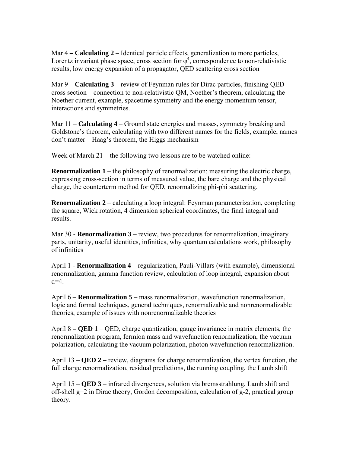Mar 4 **– Calculating 2** – Identical particle effects, generalization to more particles, Lorentz invariant phase space, cross section for  $\varphi^4$ , correspondence to non-relativistic results, low energy expansion of a propagator, QED scattering cross section

Mar 9 – **Calculating 3** – review of Feynman rules for Dirac particles, finishing QED cross section – connection to non-relativistic QM, Noether's theorem, calculating the Noether current, example, spacetime symmetry and the energy momentum tensor, interactions and symmetries.

Mar 11 – **Calculating 4** – Ground state energies and masses, symmetry breaking and Goldstone's theorem, calculating with two different names for the fields, example, names don't matter – Haag's theorem, the Higgs mechanism

Week of March 21 – the following two lessons are to be watched online:

**Renormalization 1** – the philosophy of renormalization: measuring the electric charge, expressing cross-section in terms of measured value, the bare charge and the physical charge, the counterterm method for QED, renormalizing phi-phi scattering.

**Renormalization 2** – calculating a loop integral: Feynman parameterization, completing the square, Wick rotation, 4 dimension spherical coordinates, the final integral and results.

Mar 30 - **Renormalization 3** – review, two procedures for renormalization, imaginary parts, unitarity, useful identities, infinities, why quantum calculations work, philosophy of infinities

April 1 - **Renormalization 4** – regularization, Pauli-Villars (with example), dimensional renormalization, gamma function review, calculation of loop integral, expansion about  $d=4$ .

April 6 – **Renormalization 5** – mass renormalization, wavefunction renormalization, logic and formal techniques, general techniques, renormalizable and nonrenormalizable theories, example of issues with nonrenormalizable theories

April 8 **– QED 1** – QED, charge quantization, gauge invariance in matrix elements, the renormalization program, fermion mass and wavefunction renormalization, the vacuum polarization, calculating the vacuum polarization, photon wavefunction renormalization.

April 13 – **QED 2 –** review, diagrams for charge renormalization, the vertex function, the full charge renormalization, residual predictions, the running coupling, the Lamb shift

April 15 – **QED 3** – infrared divergences, solution via bremsstrahlung, Lamb shift and off-shell g=2 in Dirac theory, Gordon decomposition, calculation of g-2, practical group theory.